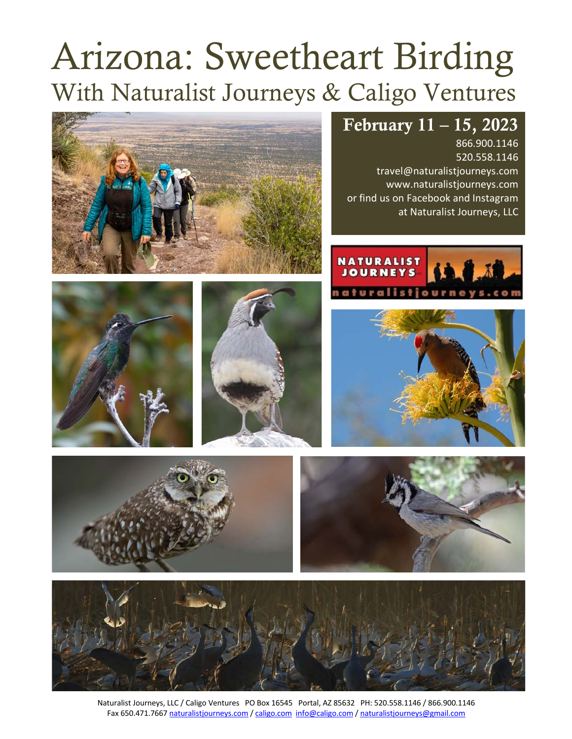# Arizona: Sweetheart Birding With Naturalist Journeys & Caligo Ventures



## February 11 – 15, 2023

866.900.1146 520.558.1146 travel@naturalistjourneys.com www.naturalistjourneys.com or find us on Facebook and Instagram at Naturalist Journeys, LLC















Naturalist Journeys, LLC / Caligo Ventures PO Box 16545 Portal, AZ 85632 PH: 520.558.1146 / 866.900.1146 Fax 650.471.7667 naturalistjourneys.com / caligo.com info@caligo.com / naturalistjourneys@gmail.com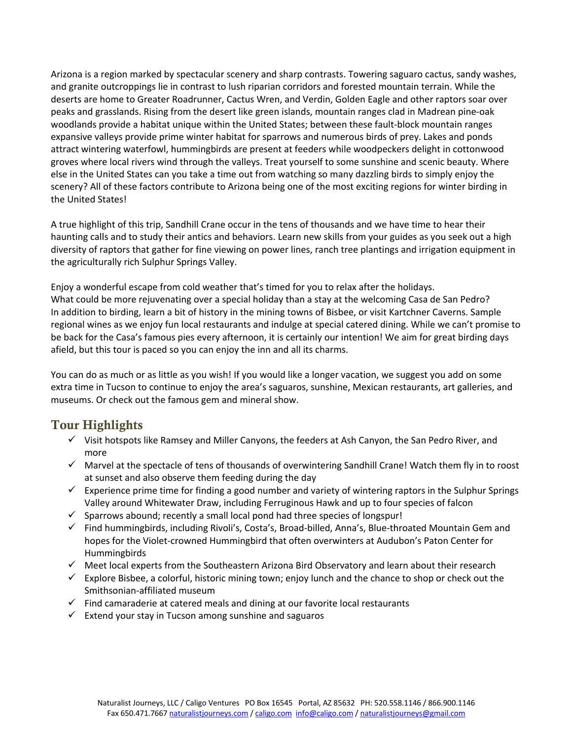Arizona is a region marked by spectacular scenery and sharp contrasts. Towering saguaro cactus, sandy washes, and granite outcroppings lie in contrast to lush riparian corridors and forested mountain terrain. While the deserts are home to Greater Roadrunner, Cactus Wren, and Verdin, Golden Eagle and other raptors soar over peaks and grasslands. Rising from the desert like green islands, mountain ranges clad in Madrean pine-oak woodlands provide a habitat unique within the United States; between these fault-block mountain ranges expansive valleys provide prime winter habitat for sparrows and numerous birds of prey. Lakes and ponds attract wintering waterfowl, hummingbirds are present at feeders while woodpeckers delight in cottonwood groves where local rivers wind through the valleys. Treat yourself to some sunshine and scenic beauty. Where else in the United States can you take a time out from watching so many dazzling birds to simply enjoy the scenery? All of these factors contribute to Arizona being one of the most exciting regions for winter birding in the United States!

A true highlight of this trip, Sandhill Crane occur in the tens of thousands and we have time to hear their haunting calls and to study their antics and behaviors. Learn new skills from your guides as you seek out a high diversity of raptors that gather for fine viewing on power lines, ranch tree plantings and irrigation equipment in the agriculturally rich Sulphur Springs Valley.

Enjoy a wonderful escape from cold weather that's timed for you to relax after the holidays. What could be more rejuvenating over a special holiday than a stay at the welcoming Casa de San Pedro? In addition to birding, learn a bit of history in the mining towns of Bisbee, or visit Kartchner Caverns. Sample regional wines as we enjoy fun local restaurants and indulge at special catered dining. While we can't promise to be back for the Casa's famous pies every afternoon, it is certainly our intention! We aim for great birding days afield, but this tour is paced so you can enjoy the inn and all its charms.

You can do as much or as little as you wish! If you would like a longer vacation, we suggest you add on some extra time in Tucson to continue to enjoy the area's saguaros, sunshine, Mexican restaurants, art galleries, and museums. Or check out the famous gem and mineral show.

#### Tour Highlights

- $\checkmark$  Visit hotspots like Ramsey and Miller Canyons, the feeders at Ash Canyon, the San Pedro River, and more
- $\checkmark$  Marvel at the spectacle of tens of thousands of overwintering Sandhill Crane! Watch them fly in to roost at sunset and also observe them feeding during the day
- $\checkmark$  Experience prime time for finding a good number and variety of wintering raptors in the Sulphur Springs Valley around Whitewater Draw, including Ferruginous Hawk and up to four species of falcon
- $\checkmark$  Sparrows abound; recently a small local pond had three species of longspur!
- $\checkmark$  Find hummingbirds, including Rivoli's, Costa's, Broad-billed, Anna's, Blue-throated Mountain Gem and hopes for the Violet-crowned Hummingbird that often overwinters at Audubon's Paton Center for Hummingbirds
- $\checkmark$  Meet local experts from the Southeastern Arizona Bird Observatory and learn about their research
- $\checkmark$  Explore Bisbee, a colorful, historic mining town; enjoy lunch and the chance to shop or check out the Smithsonian-affiliated museum
- $\checkmark$  Find camaraderie at catered meals and dining at our favorite local restaurants
- $\checkmark$  Extend your stay in Tucson among sunshine and saguaros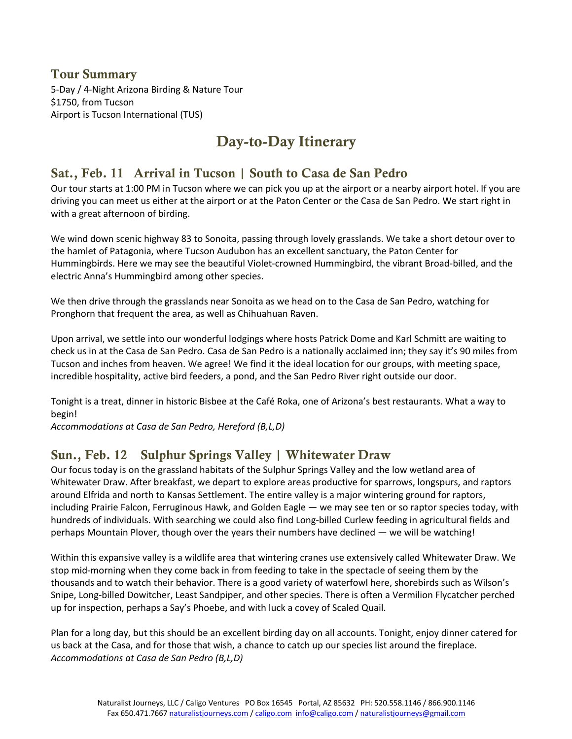#### Tour Summary

5-Day / 4-Night Arizona Birding & Nature Tour \$1750, from Tucson Airport is Tucson International (TUS)

## Day-to-Day Itinerary

#### Sat., Feb. 11 Arrival in Tucson | South to Casa de San Pedro

Our tour starts at 1:00 PM in Tucson where we can pick you up at the airport or a nearby airport hotel. If you are driving you can meet us either at the airport or at the Paton Center or the Casa de San Pedro. We start right in with a great afternoon of birding.

We wind down scenic highway 83 to Sonoita, passing through lovely grasslands. We take a short detour over to the hamlet of Patagonia, where Tucson Audubon has an excellent sanctuary, the Paton Center for Hummingbirds. Here we may see the beautiful Violet-crowned Hummingbird, the vibrant Broad-billed, and the electric Anna's Hummingbird among other species.

We then drive through the grasslands near Sonoita as we head on to the Casa de San Pedro, watching for Pronghorn that frequent the area, as well as Chihuahuan Raven.

Upon arrival, we settle into our wonderful lodgings where hosts Patrick Dome and Karl Schmitt are waiting to check us in at the Casa de San Pedro. Casa de San Pedro is a nationally acclaimed inn; they say it's 90 miles from Tucson and inches from heaven. We agree! We find it the ideal location for our groups, with meeting space, incredible hospitality, active bird feeders, a pond, and the San Pedro River right outside our door.

Tonight is a treat, dinner in historic Bisbee at the Café Roka, one of Arizona's best restaurants. What a way to begin!

*Accommodations at Casa de San Pedro, Hereford (B,L,D)* 

#### Sun., Feb. 12 Sulphur Springs Valley | Whitewater Draw

Our focus today is on the grassland habitats of the Sulphur Springs Valley and the low wetland area of Whitewater Draw. After breakfast, we depart to explore areas productive for sparrows, longspurs, and raptors around Elfrida and north to Kansas Settlement. The entire valley is a major wintering ground for raptors, including Prairie Falcon, Ferruginous Hawk, and Golden Eagle — we may see ten or so raptor species today, with hundreds of individuals. With searching we could also find Long-billed Curlew feeding in agricultural fields and perhaps Mountain Plover, though over the years their numbers have declined — we will be watching!

Within this expansive valley is a wildlife area that wintering cranes use extensively called Whitewater Draw. We stop mid-morning when they come back in from feeding to take in the spectacle of seeing them by the thousands and to watch their behavior. There is a good variety of waterfowl here, shorebirds such as Wilson's Snipe, Long-billed Dowitcher, Least Sandpiper, and other species. There is often a Vermilion Flycatcher perched up for inspection, perhaps a Say's Phoebe, and with luck a covey of Scaled Quail.

Plan for a long day, but this should be an excellent birding day on all accounts. Tonight, enjoy dinner catered for us back at the Casa, and for those that wish, a chance to catch up our species list around the fireplace. *Accommodations at Casa de San Pedro (B,L,D)*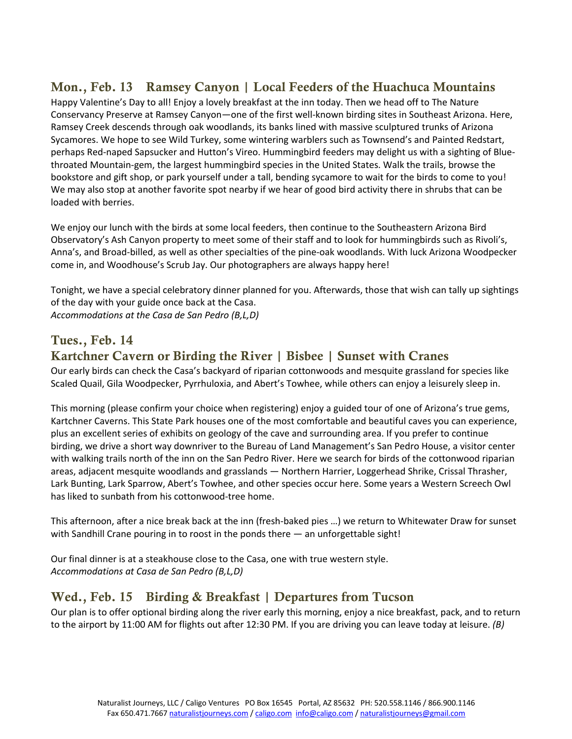#### Mon., Feb. 13 Ramsey Canyon | Local Feeders of the Huachuca Mountains

Happy Valentine's Day to all! Enjoy a lovely breakfast at the inn today. Then we head off to The Nature Conservancy Preserve at Ramsey Canyon—one of the first well-known birding sites in Southeast Arizona. Here, Ramsey Creek descends through oak woodlands, its banks lined with massive sculptured trunks of Arizona Sycamores. We hope to see Wild Turkey, some wintering warblers such as Townsend's and Painted Redstart, perhaps Red-naped Sapsucker and Hutton's Vireo. Hummingbird feeders may delight us with a sighting of Bluethroated Mountain-gem, the largest hummingbird species in the United States. Walk the trails, browse the bookstore and gift shop, or park yourself under a tall, bending sycamore to wait for the birds to come to you! We may also stop at another favorite spot nearby if we hear of good bird activity there in shrubs that can be loaded with berries.

We enjoy our lunch with the birds at some local feeders, then continue to the Southeastern Arizona Bird Observatory's Ash Canyon property to meet some of their staff and to look for hummingbirds such as Rivoli's, Anna's, and Broad-billed, as well as other specialties of the pine-oak woodlands. With luck Arizona Woodpecker come in, and Woodhouse's Scrub Jay. Our photographers are always happy here!

Tonight, we have a special celebratory dinner planned for you. Afterwards, those that wish can tally up sightings of the day with your guide once back at the Casa. *Accommodations at the Casa de San Pedro (B,L,D)* 

#### Tues., Feb. 14

#### Kartchner Cavern or Birding the River | Bisbee | Sunset with Cranes

Our early birds can check the Casa's backyard of riparian cottonwoods and mesquite grassland for species like Scaled Quail, Gila Woodpecker, Pyrrhuloxia, and Abert's Towhee, while others can enjoy a leisurely sleep in.

This morning (please confirm your choice when registering) enjoy a guided tour of one of Arizona's true gems, Kartchner Caverns. This State Park houses one of the most comfortable and beautiful caves you can experience, plus an excellent series of exhibits on geology of the cave and surrounding area. If you prefer to continue birding, we drive a short way downriver to the Bureau of Land Management's San Pedro House, a visitor center with walking trails north of the inn on the San Pedro River. Here we search for birds of the cottonwood riparian areas, adjacent mesquite woodlands and grasslands — Northern Harrier, Loggerhead Shrike, Crissal Thrasher, Lark Bunting, Lark Sparrow, Abert's Towhee, and other species occur here. Some years a Western Screech Owl has liked to sunbath from his cottonwood-tree home.

This afternoon, after a nice break back at the inn (fresh-baked pies …) we return to Whitewater Draw for sunset with Sandhill Crane pouring in to roost in the ponds there — an unforgettable sight!

Our final dinner is at a steakhouse close to the Casa, one with true western style. *Accommodations at Casa de San Pedro (B,L,D)* 

#### Wed., Feb. 15 Birding & Breakfast | Departures from Tucson

Our plan is to offer optional birding along the river early this morning, enjoy a nice breakfast, pack, and to return to the airport by 11:00 AM for flights out after 12:30 PM. If you are driving you can leave today at leisure. *(B)*